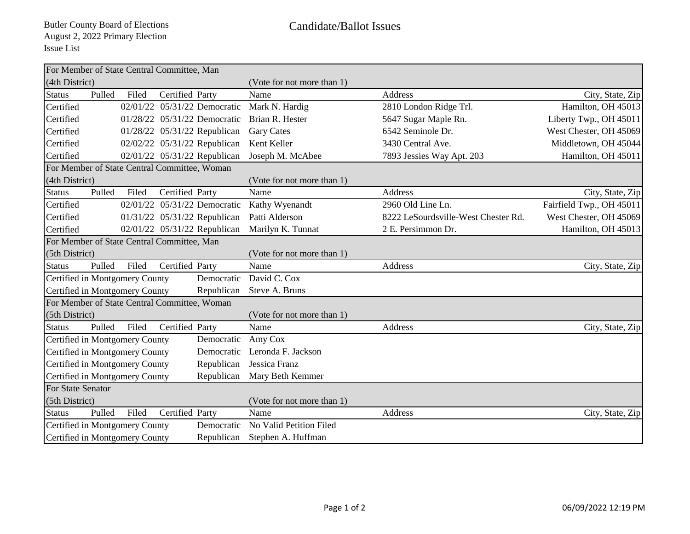|                                              |        |       | For Member of State Central Committee, Man |                              |                            |                                     |                          |
|----------------------------------------------|--------|-------|--------------------------------------------|------------------------------|----------------------------|-------------------------------------|--------------------------|
| (4th District)                               |        |       |                                            |                              | (Vote for not more than 1) |                                     |                          |
| <b>Status</b>                                | Pulled | Filed | Certified Party                            |                              | Name                       | Address                             | City, State, Zip         |
| Certified                                    |        |       |                                            | 02/01/22 05/31/22 Democratic | Mark N. Hardig             | 2810 London Ridge Trl.              | Hamilton, OH 45013       |
| Certified                                    |        |       |                                            | 01/28/22 05/31/22 Democratic | Brian R. Hester            | 5647 Sugar Maple Rn.                | Liberty Twp., OH 45011   |
| Certified                                    |        |       |                                            | 01/28/22 05/31/22 Republican | <b>Gary Cates</b>          | 6542 Seminole Dr.                   | West Chester, OH 45069   |
| Certified                                    |        |       |                                            | 02/02/22 05/31/22 Republican | Kent Keller                | 3430 Central Ave.                   | Middletown, OH 45044     |
| Certified                                    |        |       |                                            | 02/01/22 05/31/22 Republican | Joseph M. McAbee           | 7893 Jessies Way Apt. 203           | Hamilton, OH 45011       |
| For Member of State Central Committee, Woman |        |       |                                            |                              |                            |                                     |                          |
| (4th District)                               |        |       |                                            |                              | (Vote for not more than 1) |                                     |                          |
| <b>Status</b>                                | Pulled | Filed | Certified Party                            |                              | Name                       | Address                             | City, State, Zip         |
| Certified                                    |        |       |                                            | 02/01/22 05/31/22 Democratic | Kathy Wyenandt             | 2960 Old Line Ln.                   | Fairfield Twp., OH 45011 |
| Certified                                    |        |       |                                            | 01/31/22 05/31/22 Republican | Patti Alderson             | 8222 LeSourdsville-West Chester Rd. | West Chester, OH 45069   |
| Certified                                    |        |       |                                            | 02/01/22 05/31/22 Republican | Marilyn K. Tunnat          | 2 E. Persimmon Dr.                  | Hamilton, OH 45013       |
| For Member of State Central Committee, Man   |        |       |                                            |                              |                            |                                     |                          |
| (5th District)                               |        |       |                                            |                              | (Vote for not more than 1) |                                     |                          |
| <b>Status</b>                                | Pulled | Filed | Certified Party                            |                              | Name                       | Address                             | City, State, Zip         |
| Certified in Montgomery County<br>Democratic |        |       |                                            |                              | David C. Cox               |                                     |                          |
| Certified in Montgomery County<br>Republican |        |       |                                            |                              | Steve A. Bruns             |                                     |                          |
| For Member of State Central Committee, Woman |        |       |                                            |                              |                            |                                     |                          |
| (5th District)                               |        |       |                                            |                              | (Vote for not more than 1) |                                     |                          |
| <b>Status</b>                                | Pulled | Filed | Certified Party                            |                              | Name                       | Address                             | City, State, Zip         |
| Certified in Montgomery County               |        |       |                                            | Democratic                   | Amy Cox                    |                                     |                          |
| Certified in Montgomery County               |        |       |                                            | Democratic                   | Leronda F. Jackson         |                                     |                          |
| Certified in Montgomery County               |        |       |                                            | Republican                   | Jessica Franz              |                                     |                          |
| Certified in Montgomery County               |        |       |                                            | Republican                   | Mary Beth Kemmer           |                                     |                          |
| For State Senator                            |        |       |                                            |                              |                            |                                     |                          |
| (5th District)                               |        |       |                                            |                              | (Vote for not more than 1) |                                     |                          |
| <b>Status</b>                                | Pulled | Filed | Certified Party                            |                              | Name                       | Address                             | City, State, Zip         |
| Certified in Montgomery County               |        |       |                                            | Democratic                   | No Valid Petition Filed    |                                     |                          |
| Certified in Montgomery County<br>Republican |        |       |                                            |                              | Stephen A. Huffman         |                                     |                          |